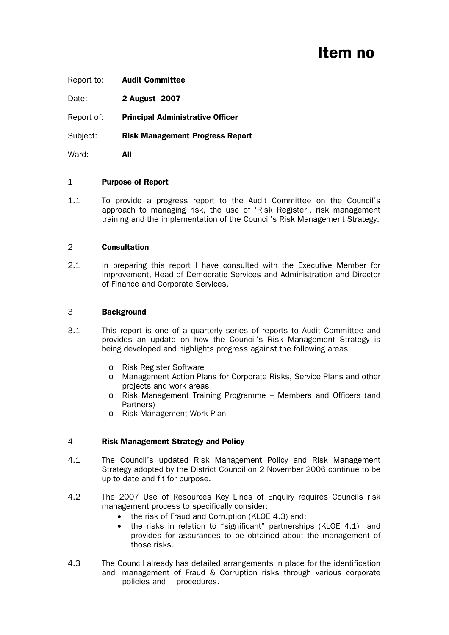# Item no

Report to: Audit Committee

Date: **2 August 2007** 

Report of: Principal Administrative Officer

Subject: Risk Management Progress Report

Ward: **All** 

#### 1 Purpose of Report

1.1 To provide a progress report to the Audit Committee on the Council's approach to managing risk, the use of 'Risk Register', risk management training and the implementation of the Council's Risk Management Strategy.

## 2 Consultation

2.1 In preparing this report I have consulted with the Executive Member for Improvement, Head of Democratic Services and Administration and Director of Finance and Corporate Services.

## 3 Background

- 3.1 This report is one of a quarterly series of reports to Audit Committee and provides an update on how the Council's Risk Management Strategy is being developed and highlights progress against the following areas
	- o Risk Register Software
	- o Management Action Plans for Corporate Risks, Service Plans and other projects and work areas
	- o Risk Management Training Programme Members and Officers (and Partners)
	- o Risk Management Work Plan

# 4 Risk Management Strategy and Policy

- 4.1 The Council's updated Risk Management Policy and Risk Management Strategy adopted by the District Council on 2 November 2006 continue to be up to date and fit for purpose.
- 4.2 The 2007 Use of Resources Key Lines of Enquiry requires Councils risk management process to specifically consider:
	- the risk of Fraud and Corruption (KLOE 4.3) and;
	- the risks in relation to "significant" partnerships (KLOE 4.1) and provides for assurances to be obtained about the management of those risks.
- 4.3 The Council already has detailed arrangements in place for the identification and management of Fraud & Corruption risks through various corporate policies and procedures.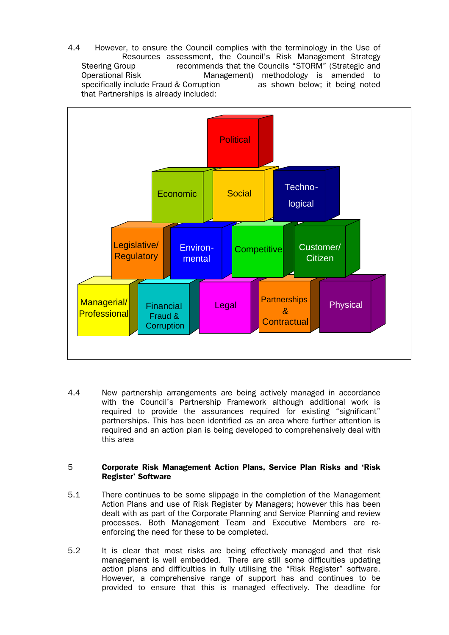4.4 However, to ensure the Council complies with the terminology in the Use of Resources assessment, the Council's Risk Management Strategy Steering Group recommends that the Councils "STORM" (Strategic and Operational Risk Management) methodology is amended to specifically include Fraud & Corruption as shown below; it being noted that Partnerships is already included:



4.4 New partnership arrangements are being actively managed in accordance with the Council's Partnership Framework although additional work is required to provide the assurances required for existing "significant" partnerships. This has been identified as an area where further attention is required and an action plan is being developed to comprehensively deal with this area

## 5 Corporate Risk Management Action Plans, Service Plan Risks and 'Risk Register' Software

- 5.1 There continues to be some slippage in the completion of the Management Action Plans and use of Risk Register by Managers; however this has been dealt with as part of the Corporate Planning and Service Planning and review processes. Both Management Team and Executive Members are reenforcing the need for these to be completed.
- 5.2 It is clear that most risks are being effectively managed and that risk management is well embedded. There are still some difficulties updating action plans and difficulties in fully utilising the "Risk Register" software. However, a comprehensive range of support has and continues to be provided to ensure that this is managed effectively. The deadline for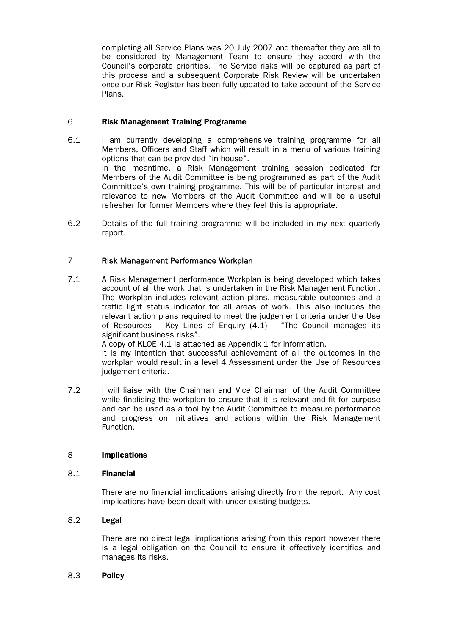completing all Service Plans was 20 July 2007 and thereafter they are all to be considered by Management Team to ensure they accord with the Council's corporate priorities. The Service risks will be captured as part of this process and a subsequent Corporate Risk Review will be undertaken once our Risk Register has been fully updated to take account of the Service Plans.

# 6 Risk Management Training Programme

- 6.1 I am currently developing a comprehensive training programme for all Members, Officers and Staff which will result in a menu of various training options that can be provided "in house". In the meantime, a Risk Management training session dedicated for Members of the Audit Committee is being programmed as part of the Audit Committee's own training programme. This will be of particular interest and relevance to new Members of the Audit Committee and will be a useful refresher for former Members where they feel this is appropriate.
- 6.2 Details of the full training programme will be included in my next quarterly report.

# 7 Risk Management Performance Workplan

7.1 A Risk Management performance Workplan is being developed which takes account of all the work that is undertaken in the Risk Management Function. The Workplan includes relevant action plans, measurable outcomes and a traffic light status indicator for all areas of work. This also includes the relevant action plans required to meet the judgement criteria under the Use of Resources – Key Lines of Enquiry  $(4.1)$  – "The Council manages its significant business risks".

A copy of KLOE 4.1 is attached as Appendix 1 for information.

 It is my intention that successful achievement of all the outcomes in the workplan would result in a level 4 Assessment under the Use of Resources judgement criteria.

7.2 I will liaise with the Chairman and Vice Chairman of the Audit Committee while finalising the workplan to ensure that it is relevant and fit for purpose and can be used as a tool by the Audit Committee to measure performance and progress on initiatives and actions within the Risk Management Function.

# 8 Implications

## 8.1 Financial

 There are no financial implications arising directly from the report. Any cost implications have been dealt with under existing budgets.

# 8.2 Legal

 There are no direct legal implications arising from this report however there is a legal obligation on the Council to ensure it effectively identifies and manages its risks.

### 8.3 Policy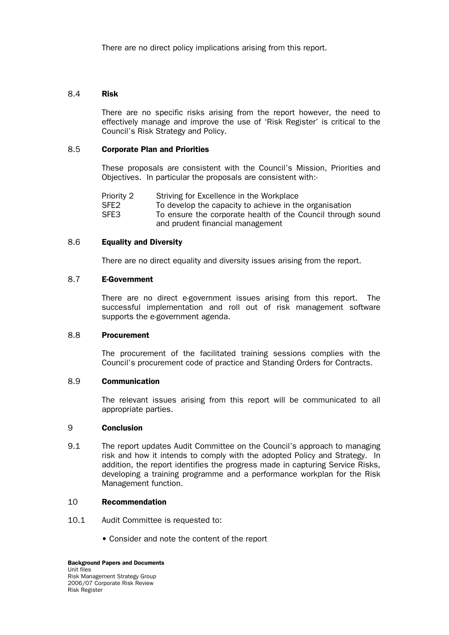There are no direct policy implications arising from this report.

## 8.4 Risk

 There are no specific risks arising from the report however, the need to effectively manage and improve the use of 'Risk Register' is critical to the Council's Risk Strategy and Policy.

## 8.5 Corporate Plan and Priorities

 These proposals are consistent with the Council's Mission, Priorities and Objectives. In particular the proposals are consistent with:-

 Priority 2 Striving for Excellence in the Workplace SFE2 To develop the capacity to achieve in the organisation SFE3 To ensure the corporate health of the Council through sound and prudent financial management

## 8.6 Equality and Diversity

There are no direct equality and diversity issues arising from the report.

# 8.7 E-Government

 There are no direct e-government issues arising from this report. The successful implementation and roll out of risk management software supports the e-government agenda.

#### 8.8 Procurement

 The procurement of the facilitated training sessions complies with the Council's procurement code of practice and Standing Orders for Contracts.

#### 8.9 Communication

 The relevant issues arising from this report will be communicated to all appropriate parties.

#### 9 Conclusion

9.1 The report updates Audit Committee on the Council's approach to managing risk and how it intends to comply with the adopted Policy and Strategy. In addition, the report identifies the progress made in capturing Service Risks, developing a training programme and a performance workplan for the Risk Management function.

### 10 Recommendation

- 10.1 Audit Committee is requested to:
	- Consider and note the content of the report